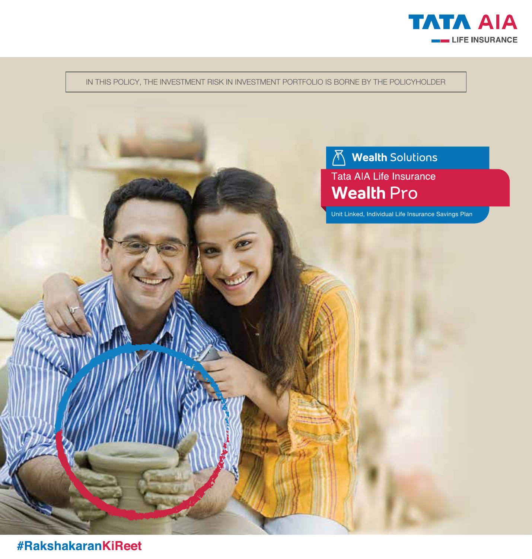

IN THIS POLICY, THE INVESTMENT RISK IN INVESTMENT PORTFOLIO IS BORNE BY THE POLICYHOLDER

# A Wealth Solutions Tata AIA Life Insurance **Wealth Pro**

Unit Linked, Individual Life Insurance Savings Plan

**#RakshakaranKiReet**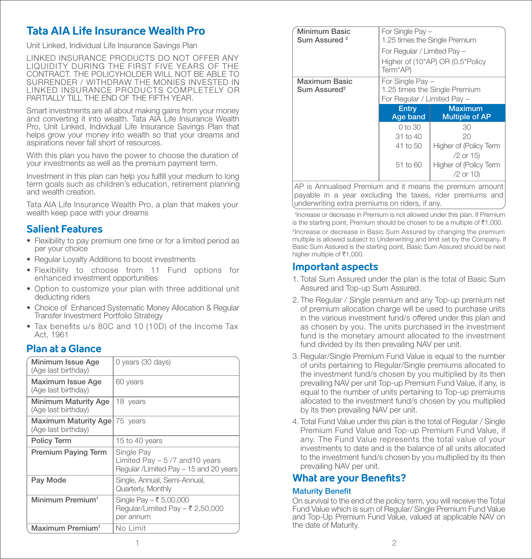# **Tata AIA Life Insurance Wealth Pro**

Unit Linked, Individual Life Insurance Savings Plan

LINKED INSURANCE PRODUCTS DO NOT OFFER ANY LIQUIDITY DURING THE FIRST FIVE YEARS OF THE CONTRACT. THE POLICYHOLDER WILL NOT BE ABLE TO SURRENDER / WITHDRAW THE MONIES INVESTED IN LINKED INSURANCE PRODUCTS COMPLETELY OR PARTIALLY TILL THE FND OF THE FIFTH YEAR.

Smart investments are all about making gains from your money and converting it into wealth. Tata AIA Life Insurance Wealth Pro, Unit Linked, Individual Life Insurance Savings Plan that helps grow your money into wealth so that your dreams and aspirations never fall short of resources.

With this plan you have the power to choose the duration of your investments as well as the premium payment term.

Investment in this plan can help you fulfill your medium to long term goals such as children's education, retirement planning and wealth creation.

Tata AIA Life Insurance Wealth Pro, a plan that makes your wealth keep pace with your dreams

# **Salient Features**

- Flexibility to pay premium one time or for a limited period as per your choice
- Regular Loyalty Additions to boost investments
- Flexibility to choose from 11 Fund options for enhanced investment opportunities
- Option to customize your plan with three additional unit deducting riders
- Choice of Enhanced Systematic Money Allocation & Regular Transfer Investment Portfolio Strategy
- Tax benefits u/s 80C and 10 (10D) of the Income Tax Act, 1961

### **Plan at a Glance**

| Minimum Issue Age<br>(Age last birthday)    | 0 years (30 days)                                                                       |
|---------------------------------------------|-----------------------------------------------------------------------------------------|
| Maximum Issue Age<br>(Age last birthday)    | 60 years                                                                                |
| Minimum Maturity Age<br>(Age last birthday) | 18 years                                                                                |
| Maximum Maturity Age<br>(Age last birthday) | 75 years                                                                                |
| <b>Policy Term</b>                          | 15 to 40 years                                                                          |
| <b>Premium Paying Term</b>                  | Single Pay<br>Limited Pay $-5/7$ and 10 years<br>Regular /Limited Pay - 15 and 20 years |
| Pay Mode                                    | Single, Annual, Semi-Annual,<br>Quarterly, Monthly                                      |
| Minimum Premium <sup>1</sup>                | Single Pay – ₹ 5,00,000<br>Regular/Limited Pay – ₹ 2,50,000<br>per annum                |
| Maximum Premium <sup>1</sup>                | No Limit                                                                                |

| <b>Minimum Basic</b><br>Sum Assured <sup>2</sup> |                                                 | For Single Pay -<br>1.25 times the Single Premium |  |
|--------------------------------------------------|-------------------------------------------------|---------------------------------------------------|--|
|                                                  | For Regular / Limited Pay -                     | Higher of (10*AP) OR (0.5*Policy                  |  |
|                                                  | Term*AP)                                        |                                                   |  |
| Maximum Basic<br>Sum Assured <sup>2</sup>        | For Single Pay -<br>For Regular / Limited Pay - | 1.25 times the Single Premium                     |  |
|                                                  |                                                 |                                                   |  |
|                                                  | Entry<br>Age band                               | <b>Maximum</b><br><b>Multiple of AP</b>           |  |
|                                                  | 0 to 30                                         | 30                                                |  |
|                                                  | 31 to 40                                        | 20                                                |  |
|                                                  | 41 to 50                                        | Higher of (Policy Term                            |  |
|                                                  | $51$ to $60$                                    | $/2$ or 15)<br>Higher of (Policy Term             |  |

AP is Annualised Premium and it means the premium amount payable in a year excluding the taxes, rider premiums and underwriting extra premiums on riders, if any.

1 Increase or decrease in Premium is not allowed under this plan. If Premium is the starting point, Premium should be chosen to be a multiple of  $\bar{\tau}1,000$ .

2Increase or decrease in Basic Sum Assured by changing the premium multiple is allowed subject to Underwriting and limit set by the Company. If Basic Sum Assured is the starting point, Basic Sum Assured should be next higher multiple of  $\overline{5}1,000$ .

### **Important aspects**

- 1. Total Sum Assured under the plan is the total of Basic Sum Assured and Top-up Sum Assured.
- 2. The Regular / Single premium and any Top-up premium net of premium allocation charge will be used to purchase units in the various investment fund/s offered under this plan and as chosen by you. The units purchased in the investment fund is the monetary amount allocated to the investment fund divided by its then prevailing NAV per unit.
- 3. Regular/Single Premium Fund Value is equal to the number of units pertaining to Regular/Single premiums allocated to the investment fund/s chosen by you multiplied by its then prevailing NAV per unit Top-up Premium Fund Value, if any, is equal to the number of units pertaining to Top-up premiums allocated to the investment fund/s chosen by you multiplied by its then prevailing NAV per unit.
- 4. Total Fund Value under this plan is the total of Regular / Single Premium Fund Value and Top-up Premium Fund Value, if any. The Fund Value represents the total value of your investments to date and is the balance of all units allocated to the investment fund/s chosen by you multiplied by its then prevailing NAV per unit.

# **What are your Benefits?**

#### **Maturity Benefit**

On survival to the end of the policy term, you will receive the Total Fund Value which is sum of Regular/ Single Premium Fund Value and Top-Up Premium Fund Value, valued at applicable NAV on the date of Maturity.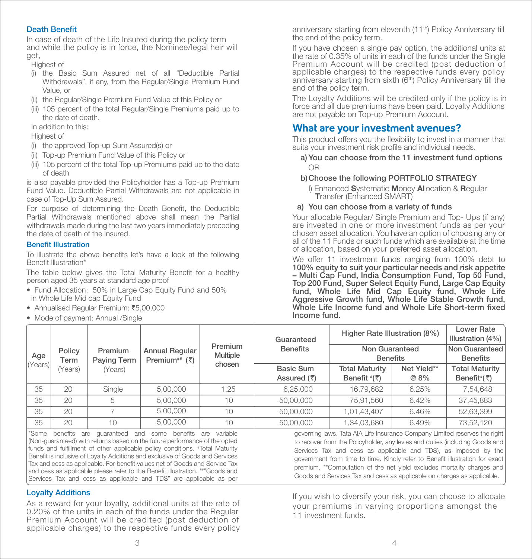#### **Death Benefit**

In case of death of the Life Insured during the policy term and while the policy is in force, the Nominee/legal heir will get,

Highest of

- (i) the Basic Sum Assured net of all "Deductible Partial Withdrawals", if any, from the Regular/Single Premium Fund Value, or
- (ii) the Regular/Single Premium Fund Value of this Policy or
- (iii) 105 percent of the total Regular/Single Premiums paid up to the date of death.

In addition to this:

#### Highest of

- (i) the approved Top-up Sum Assured(s) or
- (ii) Top-up Premium Fund Value of this Policy or
- (iii) 105 percent of the total Top-up Premiums paid up to the date of death

is also payable provided the Policyholder has a Top-up Premium Fund Value. Deductible Partial Withdrawals are not applicable in case of Top-Up Sum Assured.

For purpose of determining the Death Benefit, the Deductible Partial Withdrawals mentioned above shall mean the Partial withdrawals made during the last two years immediately preceding the date of death of the Insured.

#### **Benefit Illustration**

To illustrate the above benefits let's have a look at the following Benefit Illustration\*

The table below gives the Total Maturity Benefit for a healthy person aged 35 years at standard age proof

- Fund Allocation: 50% in Large Cap Equity Fund and 50% in Whole Life Mid cap Equity Fund
- Annualised Regular Premium: ₹5,00,000
- Mode of payment: Annual /Single

anniversary starting from eleventh (11<sup>th</sup>) Policy Anniversary till the end of the policy term.

If you have chosen a single pay option, the additional units at the rate of 0.35% of units in each of the funds under the Single Premium Account will be credited (post deduction of applicable charges) to the respective funds every policy anniversary starting from sixth (6<sup>th</sup>) Policy Anniversary till the end of the policy term.

The Loyalty Additions will be credited only if the policy is in force and all due premiums have been paid. Loyalty Additions are not payable on Top-up Premium Account.

### **What are your investment avenues?**

This product offers you the flexibility to invest in a manner that suits your investment risk profile and individual needs.

 a) You can choose from the 11 investment fund options OR

#### b) Choose the following PORTFOLIO STRATEGY

I) Enhanced Systematic Money Allocation & Regular<br>Transfer (Enhanced SMART)

#### a) You can choose from a variety of funds

Your allocable Regular/ Single Premium and Top- Ups (if any) are invested in one or more investment funds as per your chosen asset allocation. You have an option of choosing any or all of the 11 Funds or such funds which are available at the time of allocation, based on your preferred asset allocation.

We offer 11 investment funds ranging from 100% debt to 100% equity to suit your particular needs and risk appetite – Multi Cap Fund, India Consumption Fund, Top 50 Fund, Top 200 Fund, Super Select Equity Fund, Large Cap Equity fund, Whole Life Mid Cap Equity fund, Whole Life Aggressive Growth fund, Whole Life Stable Growth fund,  $W$ hole Life Income fund and Whole Life Short-term fixed Income fund.

|        |                |                        |                                                      |                            | Guaranteed                       | Higher Rate Illustration (8%)                                 |                     | Lower Rate<br>Illustration (4%)                           |
|--------|----------------|------------------------|------------------------------------------------------|----------------------------|----------------------------------|---------------------------------------------------------------|---------------------|-----------------------------------------------------------|
| Age    | Policy<br>Term | Premium<br>Paying Term | <b>Annual Regular</b><br>Premium <sup>##</sup> $(3)$ | Premium<br><b>Multiple</b> | <b>Benefits</b>                  | Non Guaranteed<br><b>Benefits</b>                             |                     | Non Guaranteed<br><b>Benefits</b>                         |
| Years) | (Years)        | (Years)                |                                                      | chosen                     | Basic Sum<br>Assured $(\bar{z})$ | <b>Total Maturity</b><br>Benefit $\sqrt[t]{\overline{\zeta}}$ | Net Yield**<br>@ 8% | <b>Total Maturity</b><br>Benefit <sup>#</sup> $(\bar{z})$ |
| 35     | 20             | Single                 | 5,00,000                                             | 1.25                       | 6,25,000                         | 16,79,682                                                     | 6.25%               | 7,54,648                                                  |
| 35     | 20             | 5                      | 5,00,000                                             | 10                         | 50,00,000                        | 75,91,560                                                     | 6.42%               | 37,45,883                                                 |
| 35     | 20             |                        | 5,00,000                                             | 10                         | 50,00,000                        | 1,01,43,407                                                   | 6.46%               | 52,63,399                                                 |
| 35     | 20             | 10                     | 5,00,000                                             | 10                         | 50,00,000                        | 1,34,03,680                                                   | 6.49%               | 73,52,120                                                 |

\*Some benefits are quaranteed and some benefits are variable (Non-guaranteed) with returns based on the future performance of the opted funds and fulfillment of other applicable policy conditions. #Total Maturity Benefit is inclusive of Loyalty Additions and exclusive of Goods and Services Tax and cess as applicable. For benefit values net of Goods and Service Tax and cess as applicable please refer to the Benefit illustration. ##"Goods and Services Tax and cess as applicable and TDS" are applicable as per

#### Loyalty Additions

As a reward for your loyalty, additional units at the rate of 0.20% of the units in each of the funds under the Regular Premium Account will be credited (post deduction of applicable charges) to the respective funds every policy governing laws. Tata AIA Life Insurance Company Limited reserves the right to recover from the Policyholder, any levies and duties (including Goods and Services Tax and cess as applicable and TDS), as imposed by the government from time to time. Kindly refer to Benefit illustration for exact premium. \*\*Computation of the net yield excludes mortality charges and Goods and Services Tax and cess as applicable on charges as applicable.

If you wish to diversify your risk, you can choose to allocate your premiums in varying proportions amongst the 11 investment funds.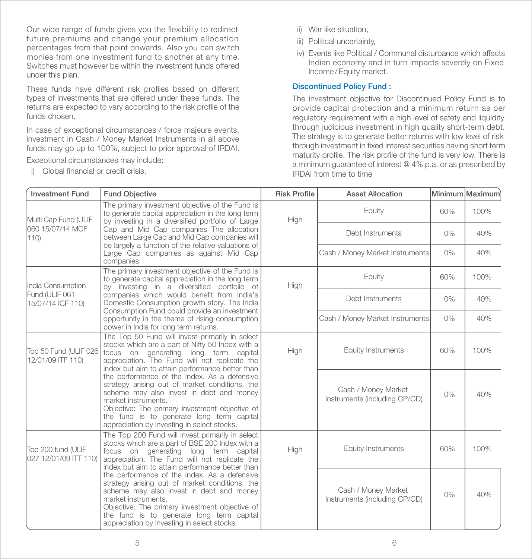Our wide range of funds gives you the flexibility to redirect future premiums and change your premium allocation percentages from that point onwards. Also you can switch monies from one investment fund to another at any time. Switches must however be within the investment funds offered under this plan.

These funds have different risk profiles based on different types of investments that are offered under these funds. The returns are expected to vary according to the risk profile of the funds chosen.

In case of exceptional circumstances / force majeure events, investment in Cash / Money Market Instruments in all above funds may go up to 100%, subject to prior approval of IRDAI.

Exceptional circumstances may include:

i) Global financial or credit crisis.

- ii) War like situation,
- iii) Political uncertainty,
- iv) Events like Political / Communal disturbance which affects Indian economy and in turn impacts severely on Fixed Income/ Equity market.

#### Discontinued Policy Fund :

The investment objective for Discontinued Policy Fund is to provide capital protection and a minimum return as per regulatory requirement with a high level of safety and liquidity through judicious investment in high quality short-term debt. The strategy is to generate better returns with low level of risk through investment in fixed interest securities having short term maturity profile. The risk profile of the fund is very low. There is a minimum guarantee of interest @ 4% p.a. or as prescribed by IRDAI from time to time

| <b>Investment Fund</b>                                                                                                                                                                                                                                                                         | <b>Fund Objective</b>                                                                                                                                                                                                                                                                                           | <b>Risk Profile</b> | <b>Asset Allocation</b>                              |       | Minimum Maximum |
|------------------------------------------------------------------------------------------------------------------------------------------------------------------------------------------------------------------------------------------------------------------------------------------------|-----------------------------------------------------------------------------------------------------------------------------------------------------------------------------------------------------------------------------------------------------------------------------------------------------------------|---------------------|------------------------------------------------------|-------|-----------------|
| Multi Cap Fund (ULIF                                                                                                                                                                                                                                                                           | The primary investment objective of the Fund is<br>to generate capital appreciation in the long term<br>by investing in a diversified portfolio of Large                                                                                                                                                        | High                | Equity                                               | 60%   | 100%            |
| 060 15/07/14 MCF<br>110                                                                                                                                                                                                                                                                        | Cap and Mid Cap companies The allocation<br>between Large Cap and Mid Cap companies will<br>be largely a function of the relative valuations of                                                                                                                                                                 |                     | Debt Instruments                                     | $0\%$ | 40%             |
|                                                                                                                                                                                                                                                                                                | Large Cap companies as against Mid Cap<br>companies.                                                                                                                                                                                                                                                            |                     | Cash / Money Market Instruments                      | $0\%$ | 40%             |
| India Consumption                                                                                                                                                                                                                                                                              | The primary investment objective of the Fund is<br>to generate capital appreciation in the long term<br>by investing in a diversified portfolio of                                                                                                                                                              | High                | Equity                                               | 60%   | 100%            |
| Fund (ULIF 061<br>15/07/14 ICF 110)                                                                                                                                                                                                                                                            | companies which would benefit from India's<br>Domestic Consumption growth story. The India<br>Consumption Fund could provide an investment                                                                                                                                                                      |                     | Debt Instruments                                     | $0\%$ | 40%             |
|                                                                                                                                                                                                                                                                                                | opportunity in the theme of rising consumption<br>power in India for long term returns.                                                                                                                                                                                                                         |                     | Cash / Money Market Instruments                      | $0\%$ | 40%             |
| The Top 50 Fund will invest primarily in select<br>stocks which are a part of Nifty 50 Index with a<br>Top 50 Fund (ULIF 026<br>focus on generating long term capital<br>12/01/09 ITF 110)<br>appreciation. The Fund will not replicate the<br>index but aim to attain performance better than |                                                                                                                                                                                                                                                                                                                 | High                | <b>Equity Instruments</b>                            | 60%   | 100%            |
|                                                                                                                                                                                                                                                                                                | the performance of the Index. As a defensive<br>strategy arising out of market conditions, the<br>scheme may also invest in debt and money<br>market instruments.<br>Objective: The primary investment objective of<br>the fund is to generate long term capital<br>appreciation by investing in select stocks. |                     | Cash / Money Market<br>Instruments (including CP/CD) | 0%    | 40%             |
| Top 200 fund (ULIF<br>027 12/01/09 ITT 110)                                                                                                                                                                                                                                                    | The Top 200 Fund will invest primarily in select<br>stocks which are a part of BSE 200 Index with a<br>focus on generating long term capital<br>appreciation. The Fund will not replicate the<br>index but aim to attain performance better than                                                                | High                | Equity Instruments                                   | 60%   | 100%            |
|                                                                                                                                                                                                                                                                                                | the performance of the Index. As a defensive<br>strategy arising out of market conditions, the<br>scheme may also invest in debt and money<br>market instruments.<br>Objective: The primary investment objective of<br>the fund is to generate long term capital<br>appreciation by investing in select stocks. |                     | Cash / Money Market<br>Instruments (including CP/CD) | 0%    | 40%             |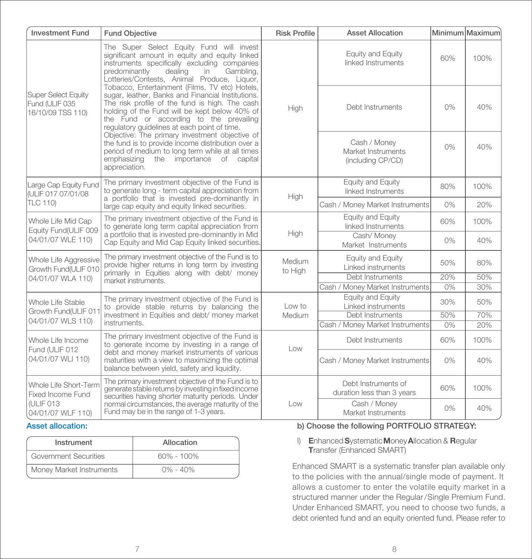| <b>Investment Fund</b>                                                                                                                                                                                                                                                                                           | <b>Fund Objective</b>                                                                                                                                                                                                                                                                             | <b>Risk Profile</b> | <b>Asset Allocation</b>                                 |       | Minimum Maximum |
|------------------------------------------------------------------------------------------------------------------------------------------------------------------------------------------------------------------------------------------------------------------------------------------------------------------|---------------------------------------------------------------------------------------------------------------------------------------------------------------------------------------------------------------------------------------------------------------------------------------------------|---------------------|---------------------------------------------------------|-------|-----------------|
| The Super Select Equity Fund will invest<br>significant amount in equity and equity linked<br>instruments specifically excluding companies<br>predominantly<br>dealing<br>Gambling.<br>in<br>Lotteries/Contests, Animal Produce, Liquor,                                                                         |                                                                                                                                                                                                                                                                                                   |                     | Equity and Equity<br>linked Instruments                 | 60%   | 100%            |
| Super Select Equity<br>Fund (ULIF 035<br>16/10/09 TSS 110)                                                                                                                                                                                                                                                       | Tobacco, Entertainment (Films, TV etc) Hotels,<br>sugar, leather, Banks and Financial Institutions.<br>The risk profile of the fund is high. The cash<br>holding of the Fund will be kept below 40% of<br>the Fund or according to the prevailing<br>requlatory quidelines at each point of time. | High                | Debt Instruments                                        | $0\%$ | 40%             |
|                                                                                                                                                                                                                                                                                                                  | Objective: The primary investment objective of<br>the fund is to provide income distribution over a<br>period of medium to long term while at all times<br>the importance of capital<br>emphasizing<br>appreciation.                                                                              |                     | Cash / Money<br>Market Instruments<br>(including CP/CD) | 0%    | 40%             |
| Large Cap Equity Fund<br>IULIF 017 07/01/08                                                                                                                                                                                                                                                                      | The primary investment objective of the Fund is<br>to generate long - term capital appreciation from                                                                                                                                                                                              | High                | Equity and Equity<br>linked Instruments                 | 80%   | 100%            |
| <b>TLC 110)</b>                                                                                                                                                                                                                                                                                                  | a portfolio that is invested pre-dominantly in<br>large cap equity and equity linked securities.                                                                                                                                                                                                  |                     | Cash / Money Market Instruments                         | 0%    | 20%             |
| Whole Life Mid Cap<br>Equity Fund(ULIF 009                                                                                                                                                                                                                                                                       | The primary investment objective of the Fund is<br>to generate long term capital appreciation from                                                                                                                                                                                                |                     | Equity and Equity<br>linked Instruments                 | 60%   | 100%            |
| a portfolio that is invested pre-dominantly in Mid<br>04/01/07 WLE 110)<br>Cap Equity and Mid Cap Equity linked securities.                                                                                                                                                                                      |                                                                                                                                                                                                                                                                                                   | High                | Cash/ Money<br>Market Instruments                       | $0\%$ | 40%             |
| The primary investment objective of the Fund is to<br>Whole Life Aggressive<br>provide higher returns in long term by investing<br>Growth Fund(ULIF 010                                                                                                                                                          |                                                                                                                                                                                                                                                                                                   | Medium<br>to High   | Equity and Equity<br>Linked instruments                 | 50%   | 80%             |
| 04/01/07 WLA 110)                                                                                                                                                                                                                                                                                                | primarily in Equities along with debt/ money<br>market instruments.                                                                                                                                                                                                                               |                     | Debt Instruments                                        | 20%   | 50%             |
|                                                                                                                                                                                                                                                                                                                  |                                                                                                                                                                                                                                                                                                   |                     | Cash / Money Market Instruments                         | 0%    | 30%             |
| Whole Life Stable<br>Growth Fund(ULIF 011                                                                                                                                                                                                                                                                        | The primary investment objective of the Fund is<br>to provide stable returns by balancing the                                                                                                                                                                                                     |                     | Equity and Equity<br>Linked instruments                 | 30%   | 50%             |
| 04/01/07 WLS 110)                                                                                                                                                                                                                                                                                                | investment in Equities and debt/ money market                                                                                                                                                                                                                                                     | Medium              | Debt Instruments                                        | 50%   | 70%             |
|                                                                                                                                                                                                                                                                                                                  | instruments.                                                                                                                                                                                                                                                                                      |                     | Cash / Money Market Instruments                         | 0%    | 20%             |
| The primary investment objective of the Fund is<br>Whole Life Income<br>to generate income by investing in a range of<br>Fund (ULIF 012<br>debt and money market instruments of various<br>04/01/07 WLI 110)<br>maturities with a view to maximizing the optimal<br>balance between yield, safety and liquidity. |                                                                                                                                                                                                                                                                                                   | Low                 | Debt Instruments                                        | 60%   | 100%            |
|                                                                                                                                                                                                                                                                                                                  |                                                                                                                                                                                                                                                                                                   |                     | Cash / Money Market Instruments                         | 0%    | 40%             |
| Whole Life Short-Term<br>Fixed Income Fund                                                                                                                                                                                                                                                                       | The primary investment objective of the Fund is to<br>generate stable returns by investing in fixed income<br>securities having shorter maturity periods. Under                                                                                                                                   |                     | Debt Instruments of<br>duration less than 3 years       | 60%   | 100%            |
| (ULIF 013<br>04/01/07 WLF 110)                                                                                                                                                                                                                                                                                   | normal circumstances, the average maturity of the<br>Fund may be in the range of 1-3 years.                                                                                                                                                                                                       | Low                 | Cash / Money<br>Market Instruments                      | 0%    | 40%             |

#### Asset allocation:

| Instrument               | Allocation     |
|--------------------------|----------------|
| Government Securities    | $60\% - 100\%$ |
| Money Market Instruments | $0\% - 40\%$   |

### b) Choose the following PORTFOLIO STRATEGY:

#### I) Enhanced Systematic Money Allocation & Regular Transfer (Enhanced SMART)

Enhanced SMART is a systematic transfer plan available only to the policies with the annual/single mode of payment. It allows a customer to enter the volatile equity market in a structured manner under the Regular/Single Premium Fund. Under Enhanced SMART, you need to choose two funds, a debt oriented fund and an equity oriented fund. Please refer to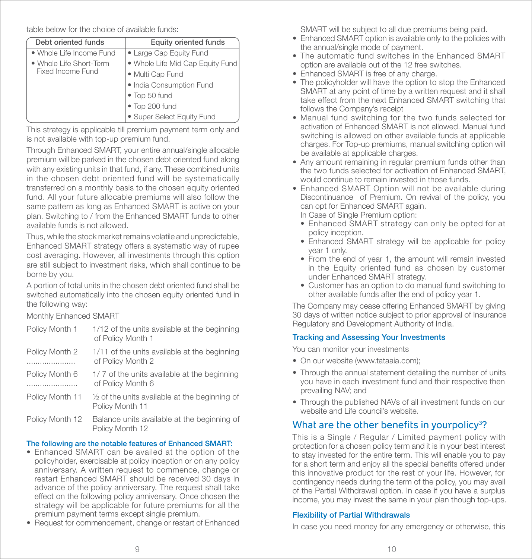table below for the choice of available funds:

| Debt oriented funds      | <b>Equity oriented funds</b>     |
|--------------------------|----------------------------------|
| • Whole Life Income Fund | • Large Cap Equity Fund          |
| • Whole Life Short-Term  | . Whole Life Mid Cap Equity Fund |
| Fixed Income Fund        | · Multi Cap Fund                 |
|                          | · India Consumption Fund         |
|                          | • Top 50 fund                    |
|                          | • Top 200 fund                   |
|                          | • Super Select Equity Fund       |

This strategy is applicable till premium payment term only and is not available with top-up premium fund.

Through Enhanced SMART, your entire annual/single allocable premium will be parked in the chosen debt oriented fund along with any existing units in that fund, if any. These combined units in the chosen debt oriented fund will be systematically transferred on a monthly basis to the chosen equity oriented fund. All your future allocable premiums will also follow the same pattern as long as Enhanced SMART is active on your plan. Switching to / from the Enhanced SMART funds to other available funds is not allowed.

Thus, while the stock market remains volatile and unpredictable, Enhanced SMART strategy offers a systematic way of rupee cost averaging. However, all investments through this option are still subject to investment risks, which shall continue to be borne by you.

A portion of total units in the chosen debt oriented fund shall be switched automatically into the chosen equity oriented fund in the following way:

Monthly Enhanced SMART

| Policy Month 1      | 1/12 of the units available at the beginning<br>of Policy Month 1           |
|---------------------|-----------------------------------------------------------------------------|
| Policy Month 2<br>. | 1/11 of the units available at the beginning<br>of Policy Month 2           |
| Policy Month 6<br>  | 1/7 of the units available at the beginning<br>of Policy Month 6            |
| Policy Month 11     | $\frac{1}{2}$ of the units available at the beginning of<br>Policy Month 11 |
| Policy Month 12     | Balance units available at the beginning of<br>Policy Month 12              |

### The following are the notable features of Enhanced SMART:

- Enhanced SMART can be availed at the option of the policyholder, exercisable at policy inception or on any policy anniversary. A written request to commence, change or restart Enhanced SMART should be received 30 days in advance of the policy anniversary. The request shall take effect on the following policy anniversary. Once chosen the strategy will be applicable for future premiums for all the premium payment terms except single premium.
- Request for commencement, change or restart of Enhanced

SMART will be subject to all due premiums being paid.

- Enhanced SMART option is available only to the policies with the annual/single mode of payment.
- The automatic fund switches in the Enhanced SMART option are available out of the 12 free switches.
- Enhanced SMART is free of any charge.
- The policyholder will have the option to stop the Enhanced SMART at any point of time by a written request and it shall take effect from the next Enhanced SMART switching that follows the Company's receipt
- Manual fund switching for the two funds selected for activation of Enhanced SMART is not allowed. Manual fund switching is allowed on other available funds at applicable charges. For Top-up premiums, manual switching option will be available at applicable charges.
- Any amount remaining in regular premium funds other than the two funds selected for activation of Enhanced SMART, would continue to remain invested in those funds.
- Enhanced SMART Option will not be available during Discontinuance of Premium. On revival of the policy, you can opt for Enhanced SMART again.

In Case of Single Premium option:

- Enhanced SMART strategy can only be opted for at policy inception.
- Enhanced SMART strategy will be applicable for policy year 1 only.
- From the end of year 1, the amount will remain invested in the Equity oriented fund as chosen by customer under Enhanced SMART strategy.
- Customer has an option to do manual fund switching to other available funds after the end of policy year 1.

The Company may cease offering Enhanced SMART by giving 30 days of written notice subject to prior approval of Insurance Regulatory and Development Authority of India.

### Tracking and Assessing Your Investments

You can monitor your investments

- On our website (www.tataaia.com);
- Through the annual statement detailing the number of units you have in each investment fund and their respective then prevailing NAV; and
- Through the published NAVs of all investment funds on our website and Life council's website.

# What are the other benefits in yourpolicy<sup>3</sup>?

This is a Single / Regular / Limited payment policy with protection for a chosen policy term and it is in your best interest to stay invested for the entire term. This will enable you to pay for a short term and enjoy all the special benefits offered under this innovative product for the rest of your life. However, for contingency needs during the term of the policy, you may avail of the Partial Withdrawal option. In case if you have a surplus income, you may invest the same in your plan though top-ups.

### Flexibility of Partial Withdrawals

In case you need money for any emergency or otherwise, this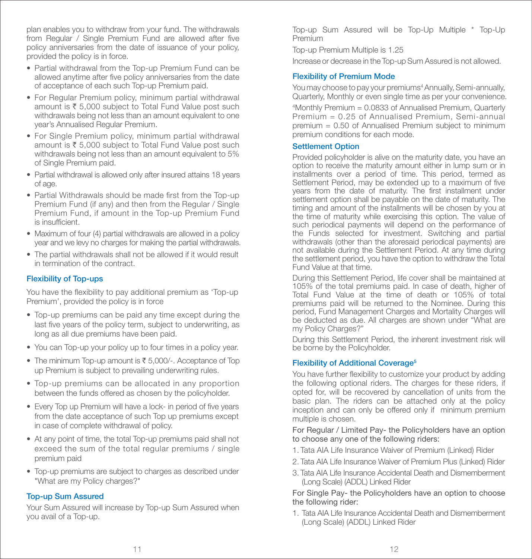plan enables you to withdraw from your fund. The withdrawals from Regular / Single Premium Fund are allowed after five policy anniversaries from the date of issuance of your policy, provided the policy is in force.

- Partial withdrawal from the Top-up Premium Fund can be allowed anytime after five policy anniversaries from the date of acceptance of each such Top-up Premium paid.
- For Regular Premium policy, minimum partial withdrawal amount is  $\bar{\tau}$  5,000 subject to Total Fund Value post such withdrawals being not less than an amount equivalent to one year's Annualised Regular Premium.
- For Single Premium policy, minimum partial withdrawal amount is  $\bar{\tau}$  5,000 subject to Total Fund Value post such withdrawals being not less than an amount equivalent to 5% of Single Premium paid.
- Partial withdrawal is allowed only after insured attains 18 years of age.
- Partial Withdrawals should be made first from the Top-up Premium Fund (if any) and then from the Regular / Single Premium Fund, if amount in the Top-up Premium Fund is insufficient
- Maximum of four (4) partial withdrawals are allowed in a policy year and we levy no charges for making the partial withdrawals.
- The partial withdrawals shall not be allowed if it would result in termination of the contract.

#### Flexibility of Top-ups

You have the flexibility to pay additional premium as 'Top-up Premium', provided the policy is in force

- Top-up premiums can be paid any time except during the last five years of the policy term, subject to underwriting, as long as all due premiums have been paid.
- You can Top-up your policy up to four times in a policy year.
- The minimum Top-up amount is  $\bar{\tau}$  5,000/-. Acceptance of Top up Premium is subject to prevailing underwriting rules.
- Top-up premiums can be allocated in any proportion between the funds offered as chosen by the policyholder.
- Every Top up Premium will have a lock- in period of five years from the date acceptance of such Top up premiums except in case of complete withdrawal of policy.
- At any point of time, the total Top-up premiums paid shall not exceed the sum of the total regular premiums / single premium paid
- Top-up premiums are subject to charges as described under "What are my Policy charges?"

#### Top-up Sum Assured

Your Sum Assured will increase by Top-up Sum Assured when you avail of a Top-up.

Top-up Sum Assured will be Top-Up Multiple \* Top-Up Premium

Top-up Premium Multiple is 1.25

Increase or decrease in the Top-up Sum Assured is not allowed.

#### Flexibility of Premium Mode

You may choose to pay your premiums<sup>4</sup> Annually, Semi-annually, Quarterly, Monthly or even single time as per your convenience.

4 Monthly Premium = 0.0833 of Annualised Premium, Quarterly Premium = 0.25 of Annualised Premium, Semi-annual premium = 0.50 of Annualised Premium subject to minimum premium conditions for each mode.

#### Settlement Option

Provided policyholder is alive on the maturity date, you have an option to receive the maturity amount either in lump sum or in installments over a period of time. This period, termed as Settlement Period, may be extended up to a maximum of five years from the date of maturity. The first installment under settlement option shall be payable on the date of maturity. The timing and amount of the installments will be chosen by you at the time of maturity while exercising this option. The value of such periodical payments will depend on the performance of the Funds selected for investment. Switching and partial withdrawals (other than the aforesaid periodical payments) are not available during the Settlement Period. At any time during the settlement period, you have the option to withdraw the Total Fund Value at that time.

During this Settlement Period, life cover shall be maintained at 105% of the total premiums paid. In case of death, higher of Total Fund Value at the time of death or 105% of total premiums paid will be returned to the Nominee. During this period, Fund Management Charges and Mortality Charges will be deducted as due. All charges are shown under "What are my Policy Charges?"

During this Settlement Period, the inherent investment risk will be borne by the Policyholder.

#### Flexibility of Additional Coverage<sup>5</sup>

You have further flexibility to customize your product by adding the following optional riders. The charges for these riders, if opted for, will be recovered by cancellation of units from the basic plan. The riders can be attached only at the policy inception and can only be offered only if minimum premium multiple is chosen.

#### For Regular / Limited Pay- the Policyholders have an option to choose any one of the following riders:

- 1. Tata AIA Life Insurance Waiver of Premium (Linked) Rider
- 2. Tata AIA Life Insurance Waiver of Premium Plus (Linked) Rider
- 3. Tata AIA Life Insurance Accidental Death and Dismemberment (Long Scale) (ADDL) Linked Rider

For Single Pay- the Policyholders have an option to choose the following rider:

1. Tata AIA Life Insurance Accidental Death and Dismemberment (Long Scale) (ADDL) Linked Rider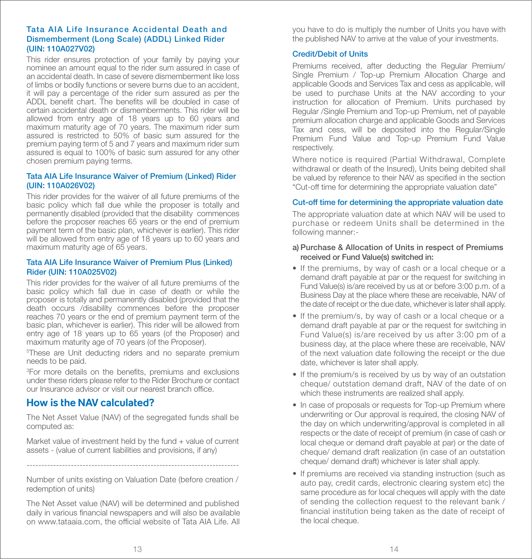#### Tata AIA Life Insurance Accidental Death and Dismemberment (Long Scale) (ADDL) Linked Rider (UIN: 110A027V02)

This rider ensures protection of your family by paying your nominee an amount equal to the rider sum assured in case of an accidental death. In case of severe dismemberment like loss of limbs or bodily functions or severe burns due to an accident, it will pay a percentage of the rider sum assured as per the ADDL benefit chart. The benefits will be doubled in case of certain accidental death or dismemberments. This rider will be allowed from entry age of 18 years up to 60 years and maximum maturity age of 70 years. The maximum rider sum assured is restricted to 50% of basic sum assured for the premium paying term of 5 and 7 years and maximum rider sum assured is equal to 100% of basic sum assured for any other chosen premium paying terms.

#### Tata AIA Life Insurance Waiver of Premium (Linked) Rider (UIN: 110A026V02)

This rider provides for the waiver of all future premiums of the basic policy which fall due while the proposer is totally and permanently disabled (provided that the disability commences before the proposer reaches 65 years or the end of premium payment term of the basic plan, whichever is earlier). This rider will be allowed from entry age of 18 years up to 60 years and maximum maturity age of 65 years.

#### Tata AIA Life Insurance Waiver of Premium Plus (Linked) Rider (UIN: 110A025V02)

This rider provides for the waiver of all future premiums of the basic policy which fall due in case of death or while the proposer is totally and permanently disabled (provided that the death occurs /disability commences before the proposer reaches 70 years or the end of premium payment term of the basic plan, whichever is earlier). This rider will be allowed from entry age of 18 years up to 65 years (of the Proposer) and maximum maturity age of 70 years (of the Proposer).

5 These are Unit deducting riders and no separate premium needs to be paid.

<sup>3</sup>For more details on the benefits, premiums and exclusions under these riders please refer to the Rider Brochure or contact our Insurance advisor or visit our nearest branch office.

# **How is the NAV calculated?**

The Net Asset Value (NAV) of the segregated funds shall be computed as:

Market value of investment held by the fund  $+$  value of current assets - (value of current liabilities and provisions, if any)

------------------------------------------------------------------------ Number of units existing on Valuation Date (before creation / redemption of units)

The Net Asset value (NAV) will be determined and published daily in various financial newspapers and will also be available on www.tataaia.com, the official website of Tata AIA Life. All you have to do is multiply the number of Units you have with the published NAV to arrive at the value of your investments.

#### Credit/Debit of Units

Premiums received, after deducting the Regular Premium/ Single Premium / Top-up Premium Allocation Charge and applicable Goods and Services Tax and cess as applicable, will be used to purchase Units at the NAV according to your instruction for allocation of Premium. Units purchased by Regular /Single Premium and Top-up Premium, net of payable premium allocation charge and applicable Goods and Services Tax and cess, will be deposited into the Regular/Single Premium Fund Value and Top-up Premium Fund Value respectively.

Where notice is required (Partial Withdrawal, Complete withdrawal or death of the Insured), Units being debited shall be valued by reference to their NAV as specified in the section "Cut-off time for determining the appropriate valuation date"

#### Cut-off time for determining the appropriate valuation date

The appropriate valuation date at which NAV will be used to purchase or redeem Units shall be determined in the following manner:-

#### a) Purchase & Allocation of Units in respect of Premiums received or Fund Value(s) switched in:

- If the premiums, by way of cash or a local cheque or a demand draft payable at par or the request for switching in Fund Value(s) is/are received by us at or before 3:00 p.m. of a Business Day at the place where these are receivable, NAV of the date of receipt or the due date, whichever is later shall apply.
- If the premium/s, by way of cash or a local cheque or a demand draft payable at par or the request for switching in Fund Value(s) is/are received by us after 3:00 pm of a business day, at the place where these are receivable, NAV of the next valuation date following the receipt or the due date, whichever is later shall apply.
- If the premium/s is received by us by way of an outstation cheque/ outstation demand draft, NAV of the date of on which these instruments are realized shall apply.
- In case of proposals or requests for Top-up Premium where underwriting or Our approval is required, the closing NAV of the day on which underwriting/approval is completed in all respects or the date of receipt of premium (in case of cash or local cheque or demand draft payable at par) or the date of cheque/ demand draft realization (in case of an outstation cheque/ demand draft) whichever is later shall apply.
- If premiums are received via standing instruction (such as auto pay, credit cards, electronic clearing system etc) the same procedure as for local cheques will apply with the date of sending the collection request to the relevant bank / financial institution being taken as the date of receipt of the local cheque.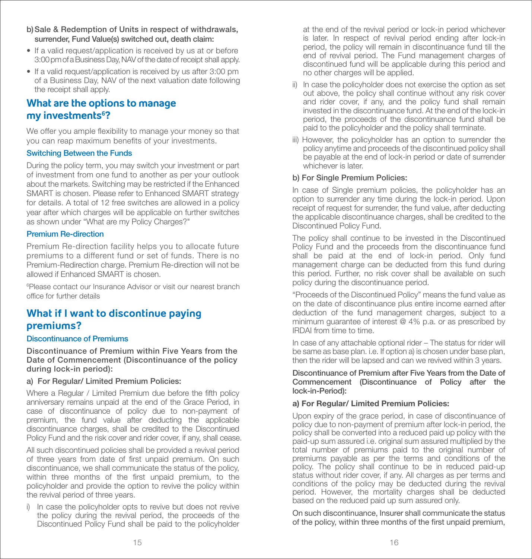- b) Sale & Redemption of Units in respect of withdrawals, surrender, Fund Value(s) switched out, death claim:
- If a valid request/application is received by us at or before 3:00 pm of a Business Day, NAV of the date of receipt shall apply.
- If a valid request/application is received by us after 3:00 pm of a Business Day, NAV of the next valuation date following the receipt shall apply.

# **What are the options to manage my investments6 ?**

We offer you ample flexibility to manage your money so that you can reap maximum benefits of your investments.

#### Switching Between the Funds

During the policy term, you may switch your investment or part of investment from one fund to another as per your outlook about the markets. Switching may be restricted if the Enhanced SMART is chosen. Please refer to Enhanced SMART strategy for details. A total of 12 free switches are allowed in a policy year after which charges will be applicable on further switches as shown under "What are my Policy Charges?"

#### Premium Re-direction

Premium Re-direction facility helps you to allocate future premiums to a different fund or set of funds. There is no Premium-Redirection charge. Premium Re-direction will not be allowed if Enhanced SMART is chosen.

6 Please contact our Insurance Advisor or visit our nearest branch office for further details

# **What if I want to discontinue paying premiums?**

#### Discontinuance of Premiums

Discontinuance of Premium within Five Years from the Date of Commencement (Discontinuance of the policy during lock-in period):

#### a) For Regular/ Limited Premium Policies:

Where a Regular / Limited Premium due before the fifth policy anniversary remains unpaid at the end of the Grace Period, in case of discontinuance of policy due to non-payment of premium, the fund value after deducting the applicable discontinuance charges, shall be credited to the Discontinued Policy Fund and the risk cover and rider cover, if any, shall cease.

All such discontinued policies shall be provided a revival period of three years from date of first unpaid premium. On such discontinuance, we shall communicate the status of the policy, within three months of the first unpaid premium, to the policyholder and provide the option to revive the policy within the revival period of three years.

i) In case the policyholder opts to revive but does not revive the policy during the revival period, the proceeds of the Discontinued Policy Fund shall be paid to the policyholder

at the end of the revival period or lock-in period whichever is later. In respect of revival period ending after lock-in period, the policy will remain in discontinuance fund till the end of revival period. The Fund management charges of discontinued fund will be applicable during this period and no other charges will be applied.

- ii) In case the policyholder does not exercise the option as set out above, the policy shall continue without any risk cover and rider cover, if any, and the policy fund shall remain invested in the discontinuance fund. At the end of the lock-in period, the proceeds of the discontinuance fund shall be paid to the policyholder and the policy shall terminate.
- iii) However, the policyholder has an option to surrender the policy anytime and proceeds of the discontinued policy shall be payable at the end of lock-in period or date of surrender whichever is later.

#### b) For Single Premium Policies:

In case of Single premium policies, the policyholder has an option to surrender any time during the lock-in period. Upon receipt of request for surrender, the fund value, after deducting the applicable discontinuance charges, shall be credited to the Discontinued Policy Fund.

The policy shall continue to be invested in the Discontinued Policy Fund and the proceeds from the discontinuance fund shall be paid at the end of lock-in period. Only fund management charge can be deducted from this fund during this period. Further, no risk cover shall be available on such policy during the discontinuance period.

"Proceeds of the Discontinued Policy" means the fund value as on the date of discontinuance plus entire income earned after deduction of the fund management charges, subject to a minimum guarantee of interest @ 4% p.a. or as prescribed by IRDAI from time to time.

In case of any attachable optional rider – The status for rider will be same as base plan. i.e. If option a) is chosen under base plan, then the rider will be lapsed and can we revived within 3 years.

#### Discontinuance of Premium after Five Years from the Date of Commencement (Discontinuance of Policy after the lock-in-Period):

#### a) For Regular/ Limited Premium Policies:

Upon expiry of the grace period, in case of discontinuance of policy due to non-payment of premium after lock-in period, the policy shall be converted into a reduced paid up policy with the paid-up sum assured i.e. original sum assured multiplied by the total number of premiums paid to the original number of premiums payable as per the terms and conditions of the policy. The policy shall continue to be in reduced paid-up status without rider cover, if any. All charges as per terms and conditions of the policy may be deducted during the revival period. However, the mortality charges shall be deducted based on the reduced paid up sum assured only.

On such discontinuance, Insurer shall communicate the status of the policy, within three months of the first unpaid premium,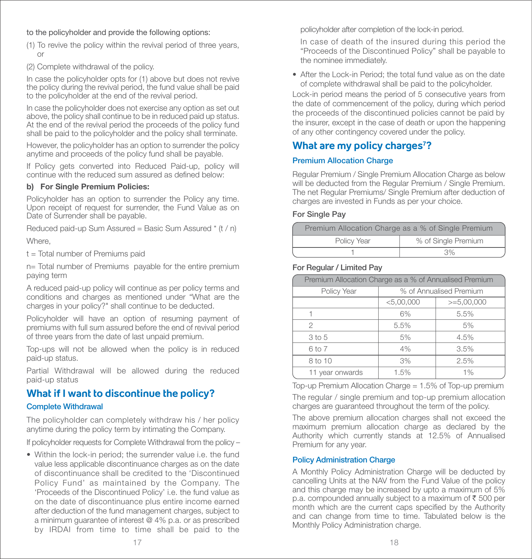#### to the policyholder and provide the following options:

- (1) To revive the policy within the revival period of three years, or
- (2) Complete withdrawal of the policy.

In case the policyholder opts for (1) above but does not revive the policy during the revival period, the fund value shall be paid to the policyholder at the end of the revival period.

In case the policyholder does not exercise any option as set out above, the policy shall continue to be in reduced paid up status. At the end of the revival period the proceeds of the policy fund shall be paid to the policyholder and the policy shall terminate.

However, the policyholder has an option to surrender the policy anytime and proceeds of the policy fund shall be payable.

If Policy gets converted into Reduced Paid-up, policy will continue with the reduced sum assured as defined below:

#### b) For Single Premium Policies:

Policyholder has an option to surrender the Policy any time. Upon receipt of request for surrender, the Fund Value as on Date of Surrender shall be payable.

Reduced paid-up Sum Assured = Basic Sum Assured  $*$  (t / n)

Where,

t = Total number of Premiums paid

n= Total number of Premiums payable for the entire premium paying term

A reduced paid-up policy will continue as per policy terms and conditions and charges as mentioned under "What are the charges in your policy?" shall continue to be deducted.

Policyholder will have an option of resuming payment of premiums with full sum assured before the end of revival period of three years from the date of last unpaid premium.

Top-ups will not be allowed when the policy is in reduced paid-up status.

Partial Withdrawal will be allowed during the reduced paid-up status

# **What if I want to discontinue the policy?**

#### Complete Withdrawal

The policyholder can completely withdraw his / her policy anytime during the policy term by intimating the Company.

If policyholder requests for Complete Withdrawal from the policy –

• Within the lock-in period; the surrender value i.e. the fund value less applicable discontinuance charges as on the date of discontinuance shall be credited to the 'Discontinued Policy Fund' as maintained by the Company. The 'Proceeds of the Discontinued Policy' i.e. the fund value as on the date of discontinuance plus entire income earned after deduction of the fund management charges, subject to a minimum guarantee of interest @ 4% p.a. or as prescribed by IRDAI from time to time shall be paid to the

policyholder after completion of the lock-in period.

 In case of death of the insured during this period the "Proceeds of the Discontinued Policy" shall be payable to the nominee immediately.

• After the Lock-in Period; the total fund value as on the date of complete withdrawal shall be paid to the policyholder.

Lock-in period means the period of 5 consecutive years from the date of commencement of the policy, during which period the proceeds of the discontinued policies cannot be paid by the insurer, except in the case of death or upon the happening of any other contingency covered under the policy.

# **What are my policy charges7 ?**

#### Premium Allocation Charge

Regular Premium / Single Premium Allocation Charge as below will be deducted from the Regular Premium / Single Premium. The net Regular Premiums/ Single Premium after deduction of charges are invested in Funds as per your choice.

#### For Single Pay

| Premium Allocation Charge as a % of Single Premium |                     |  |
|----------------------------------------------------|---------------------|--|
| Policy Year                                        | % of Single Premium |  |
|                                                    | 3%                  |  |

#### For Regular / Limited Pay

| Premium Allocation Charge as a % of Annualised Premium |                         |              |  |
|--------------------------------------------------------|-------------------------|--------------|--|
| Policy Year                                            | % of Annualised Premium |              |  |
|                                                        | < 5,00,000              | $>=5,00,000$ |  |
|                                                        | 6%                      | 5.5%         |  |
| 2                                                      | 5.5%                    | 5%           |  |
| 3 to 5                                                 | 5%                      | 4.5%         |  |
| 6 to 7                                                 | 4%                      | 3.5%         |  |
| 8 to 10                                                | 3%                      | 2.5%         |  |
| 11 year onwards                                        | 1.5%                    | $1\%$        |  |

Top-up Premium Allocation Charge = 1.5% of Top-up premium

The regular / single premium and top-up premium allocation charges are guaranteed throughout the term of the policy.

The above premium allocation charges shall not exceed the maximum premium allocation charge as declared by the Authority which currently stands at 12.5% of Annualised Premium for any year.

#### Policy Administration Charge

A Monthly Policy Administration Charge will be deducted by cancelling Units at the NAV from the Fund Value of the policy and this charge may be increased by upto a maximum of 5% p.a. compounded annually subject to a maximum of  $\bar{\tau}$  500 per month which are the current caps specified by the Authority and can change from time to time. Tabulated below is the Monthly Policy Administration charge.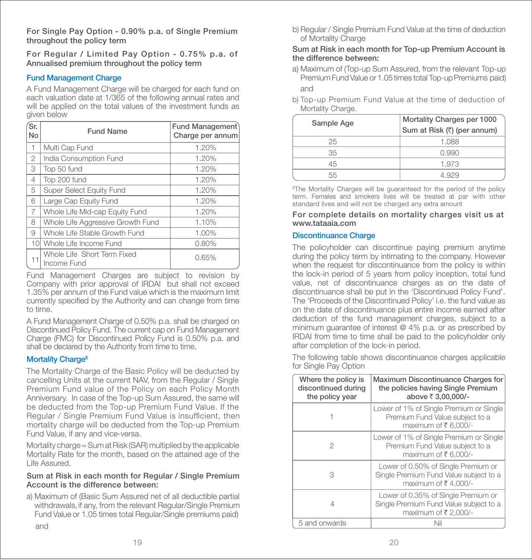For Single Pay Option - 0.90% p.a. of Single Premium throughout the policy term

For Regular / Limited Pay Option - 0.75% p.a. of Annualised premium throughout the policy term

#### Fund Management Charge

A Fund Management Charge will be charged for each fund on each valuation date at 1/365 of the following annual rates and will be applied on the total values of the investment funds as given below

| Śr.<br>No                | <b>Fund Name</b>                           | <b>Fund Management</b><br>Charge per annum |
|--------------------------|--------------------------------------------|--------------------------------------------|
| $\overline{\phantom{a}}$ | Multi Cap Fund                             | 1.20%                                      |
| 2                        | India Consumption Fund                     | 1.20%                                      |
| 3                        | Top 50 fund                                | 1.20%                                      |
| 4                        | Top 200 fund                               | 1.20%                                      |
| 5                        | Super Select Equity Fund                   | 1.20%                                      |
| 6                        | Large Cap Equity Fund                      | 1.20%                                      |
| 7                        | Whole Life Mid-cap Equity Fund             | 1.20%                                      |
| 8                        | Whole Life Aggressive Growth Fund          | 1.10%                                      |
| 9                        | Whole Life Stable Growth Fund              | 1.00%                                      |
| 10 <sup>1</sup>          | Whole Life Income Fund                     | 0.80%                                      |
| 11                       | Whole Life Short Term Fixed<br>Income Fund | 0.65%                                      |

Fund Management Charges are subject to revision by Company with prior approval of IRDAI but shall not exceed 1.35% per annum of the Fund value which is the maximum limit currently specified by the Authority and can change from time to time.

A Fund Management Charge of 0.50% p.a. shall be charged on Discontinued Policy Fund. The current cap on Fund Management Charge (FMC) for Discontinued Policy Fund is 0.50% p.a. and shall be declared by the Authority from time to time.

#### Mortality Charge<sup>8</sup>

The Mortality Charge of the Basic Policy will be deducted by cancelling Units at the current NAV, from the Regular / Single Premium Fund value of the Policy on each Policy Month Anniversary. In case of the Top-up Sum Assured, the same will be deducted from the Top-up Premium Fund Value. If the Regular / Single Premium Fund Value is insufficient, then mortality charge will be deducted from the Top-up Premium Fund Value, if any and vice-versa.

Mortality charge = Sum at Risk (SAR) multiplied by the applicable Mortality Rate for the month, based on the attained age of the Life Assured.

#### Sum at Risk in each month for Regular / Single Premium Account is the difference between:

a) Maximum of (Basic Sum Assured net of all deductible partial withdrawals, if any, from the relevant Regular/Single Premium Fund Value or 1.05 times total Regular/Single premiums paid) and

b) Regular / Single Premium Fund Value at the time of deduction of Mortality Charge

#### Sum at Risk in each month for Top-up Premium Account is the difference between:

- a) Maximum of (Top-up Sum Assured, from the relevant Top-up Premium Fund Value or 1.05 times total Top-up Premiums paid) and
- b) Top-up Premium Fund Value at the time of deduction of Mortality Charge.

| Sample Age | Mortality Charges per 1000  |
|------------|-----------------------------|
|            | Sum at Risk (₹) (per annum) |
| 25         | 1.088                       |
| 35         | 0.990                       |
| 45         | 1.973                       |
| 55         | 4.YY.Y                      |

<sup>8</sup>The Mortality Charges will be guaranteed for the period of the policy term. Females and smokers lives will be treated at par with other standard lives and will not be charged any extra amount

#### For complete details on mortality charges visit us at www.tataaia.com

#### Discontinuance Charge

The policyholder can discontinue paying premium anytime during the policy term by intimating to the company. However when the request for discontinuance from the policy is within the lock-in period of 5 years from policy inception, total fund value, net of discontinuance charges as on the date of discontinuance shall be put in the 'Discontinued Policy Fund'. The 'Proceeds of the Discontinued Policy' i.e. the fund value as on the date of discontinuance plus entire income earned after deduction of the fund management charges, subject to a minimum guarantee of interest @ 4% p.a. or as prescribed by IRDAI from time to time shall be paid to the policyholder only after completion of the lock-in period.

The following table shows discontinuance charges applicable for Single Pay Option

| Where the policy is<br>discontinued during<br>the policy year | Maximum Discontinuance Charges for<br>the policies having Single Premium<br>above ₹ 3,00,000/-        |
|---------------------------------------------------------------|-------------------------------------------------------------------------------------------------------|
|                                                               | Lower of 1% of Single Premium or Single<br>Premium Fund Value subject to a<br>maximum of ₹6,000/-     |
| 2                                                             | Lower of 1% of Single Premium or Single<br>Premium Fund Value subject to a<br>maximum of ₹6,000/-     |
| З                                                             | Lower of 0.50% of Single Premium or<br>Single Premium Fund Value subject to a<br>maximum of ₹4,000/-  |
| 4                                                             | Lower of 0.35% of Single Premium or<br>Single Premium Fund Value subject to a<br>maximum of ₹ 2,000/- |
| 5 and onwards                                                 |                                                                                                       |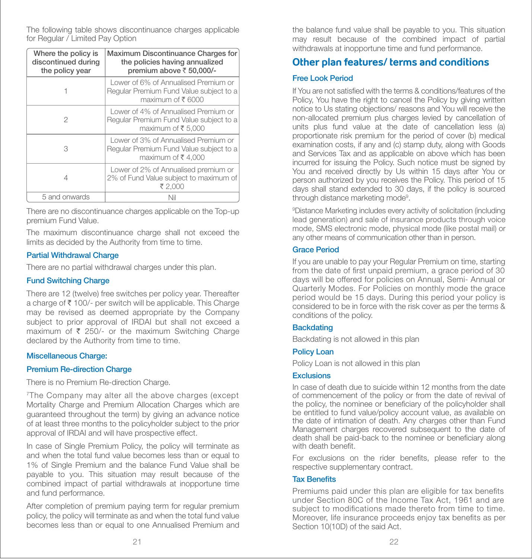The following table shows discontinuance charges applicable for Regular / Limited Pay Option

| Where the policy is<br>discontinued during<br>the policy year | Maximum Discontinuance Charges for<br>the policies having annualized<br>premium above ₹ 50,000/-     |
|---------------------------------------------------------------|------------------------------------------------------------------------------------------------------|
|                                                               | Lower of 6% of Annualised Premium or<br>Reqular Premium Fund Value subject to a<br>maximum of ₹ 6000 |
| 2                                                             | Lower of 4% of Annualised Premium or<br>Regular Premium Fund Value subject to a<br>maximum of ₹5,000 |
| 3                                                             | Lower of 3% of Annualised Premium or<br>Regular Premium Fund Value subject to a<br>maximum of ₹4,000 |
|                                                               | Lower of 2% of Annualised premium or<br>2% of Fund Value subject to maximum of<br>₹ 2,000            |
| 5 and onwards                                                 | Nil                                                                                                  |

There are no discontinuance charges applicable on the Top-up premium Fund Value.

The maximum discontinuance charge shall not exceed the limits as decided by the Authority from time to time.

#### Partial Withdrawal Charge

There are no partial withdrawal charges under this plan.

#### Fund Switching Charge

There are 12 (twelve) free switches per policy year. Thereafter a charge of ₹ 100/- per switch will be applicable. This Charge may be revised as deemed appropriate by the Company subject to prior approval of IRDAI but shall not exceed a maximum of  $\bar{\tau}$  250/- or the maximum Switching Charge declared by the Authority from time to time.

#### Miscellaneous Charge:

#### Premium Re-direction Charge

There is no Premium Re-direction Charge.

7The Company may alter all the above charges (except Mortality Charge and Premium Allocation Charges which are guaranteed throughout the term) by giving an advance notice of at least three months to the policyholder subject to the prior approval of IRDAI and will have prospective effect.

In case of Single Premium Policy, the policy will terminate as and when the total fund value becomes less than or equal to 1% of Single Premium and the balance Fund Value shall be payable to you. This situation may result because of the combined impact of partial withdrawals at inopportune time and fund performance.

After completion of premium paying term for regular premium policy, the policy will terminate as and when the total fund value becomes less than or equal to one Annualised Premium and

the balance fund value shall be payable to you. This situation may result because of the combined impact of partial withdrawals at inopportune time and fund performance.

### **Other plan features/ terms and conditions**

#### Free Look Period

If You are not satisfied with the terms & conditions/features of the Policy. You have the right to cancel the Policy by giving written notice to Us stating objections/ reasons and You will receive the non-allocated premium plus charges levied by cancellation of units plus fund value at the date of cancellation less (a) proportionate risk premium for the period of cover (b) medical examination costs, if any and (c) stamp duty, along with Goods and Services Tax and as applicable on above which has been incurred for issuing the Policy. Such notice must be signed by You and received directly by Us within 15 days after You or person authorized by you receives the Policy. This period of 15 days shall stand extended to 30 days, if the policy is sourced through distance marketing mode9 .

9 Distance Marketing includes every activity of solicitation (including lead generation) and sale of insurance products through voice mode, SMS electronic mode, physical mode (like postal mail) or any other means of communication other than in person.

#### Grace Period

If you are unable to pay your Regular Premium on time, starting from the date of first unpaid premium, a grace period of 30 days will be offered for policies on Annual, Semi- Annual or Quarterly Modes. For Policies on monthly mode the grace period would be 15 days. During this period your policy is considered to be in force with the risk cover as per the terms & conditions of the policy.

#### **Backdating**

Backdating is not allowed in this plan

#### Policy Loan

Policy Loan is not allowed in this plan

#### **Exclusions**

In case of death due to suicide within 12 months from the date of commencement of the policy or from the date of revival of the policy, the nominee or beneficiary of the policyholder shall be entitled to fund value/policy account value, as available on the date of intimation of death. Any charges other than Fund Management charges recovered subsequent to the date of death shall be paid-back to the nominee or beneficiary along with death benefit.

For exclusions on the rider benefits, please refer to the respective supplementary contract.

#### **Tax Benefits**

Premiums paid under this plan are eligible for tax benefits under Section 80C of the Income Tax Act, 1961 and are subject to modifications made thereto from time to time. Moreover, life insurance proceeds enjoy tax benefits as per Section 10(10D) of the said Act.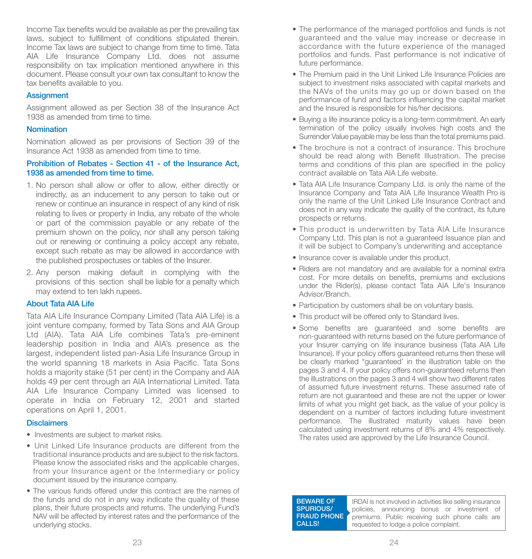Income Tax benefits would be available as per the prevailing tax laws, subject to fulfillment of conditions stipulated therein. Income Tax laws are subject to change from time to time. Tata AIA Life Insurance Company Ltd. does not assume responsibility on tax implication mentioned anywhere in this document. Please consult your own tax consultant to know the tax benefits available to you.

#### **Assignment**

Assignment allowed as per Section 38 of the Insurance Act 1938 as amended from time to time.

#### Nomination

Nomination allowed as per provisions of Section 39 of the Insurance Act 1938 as amended from time to time.

#### Prohibition of Rebates - Section 41 - of the Insurance Act, 1938 as amended from time to time.

- 1. No person shall allow or offer to allow, either directly or indirectly, as an inducement to any person to take out or renew or continue an insurance in respect of any kind of risk relating to lives or property in India, any rebate of the whole or part of the commission payable or any rebate of the premium shown on the policy, nor shall any person taking out or renewing or continuing a policy accept any rebate, except such rebate as may be allowed in accordance with the published prospectuses or tables of the Insurer.
- 2. Any person making default in complying with the provisions of this section shall be liable for a penalty which may extend to ten lakh rupees.

#### About Tata AIA Life

Tata AIA Life Insurance Company Limited (Tata AIA Life) is a joint venture company, formed by Tata Sons and AIA Group Ltd (AIA). Tata AIA Life combines Tata's pre-eminent leadership position in India and AIA's presence as the largest, independent listed pan-Asia Life Insurance Group in the world spanning 18 markets in Asia Pacific. Tata Sons holds a majority stake (51 per cent) in the Company and AIA holds 49 per cent through an AIA International Limited. Tata AIA Life Insurance Company Limited was licensed to operate in India on February 12, 2001 and started operations on April 1, 2001.

#### **Disclaimers**

- Investments are subject to market risks.
- Unit Linked Life Insurance products are different from the traditional insurance products and are subject to the risk factors. Please know the associated risks and the applicable charges, from your Insurance agent or the Intermediary or policy document issued by the insurance company.
- The various funds offered under this contract are the names of the funds and do not in any way indicate the quality of these plans, their future prospects and returns. The underlying Fund's NAV will be affected by interest rates and the performance of the underlying stocks.
- The performance of the managed portfolios and funds is not guaranteed and the value may increase or decrease in accordance with the future experience of the managed portfolios and funds. Past performance is not indicative of future performance.
- The Premium paid in the Unit Linked Life Insurance Policies are subject to investment risks associated with capital markets and the NAVs of the units may go up or down based on the performance of fund and factors influencing the capital market and the Insured is responsible for his/her decisions.
- Buying a life insurance policy is a long-term commitment. An early termination of the policy usually involves high costs and the Surrender Value payable may be less than the total premiums paid.
- The brochure is not a contract of insurance. This brochure should be read along with Benefit Illustration. The precise terms and conditions of this plan are specified in the policy contract available on Tata AIA Life website.
- Tata AIA Life Insurance Company Ltd. is only the name of the Insurance Company and Tata AIA Life Insurance Wealth Pro is only the name of the Unit Linked Life Insurance Contract and does not in any way indicate the quality of the contract, its future prospects or returns.
- This product is underwritten by Tata AIA Life Insurance Company Ltd. This plan is not a guaranteed Issuance plan and it will be subject to Company's underwriting and acceptance
- Insurance cover is available under this product.
- Riders are not mandatory and are available for a nominal extra cost. For more details on benefits, premiums and exclusions under the Rider(s), please contact Tata AIA Life's Insurance Advisor/Branch.
- Participation by customers shall be on voluntary basis.
- This product will be offered only to Standard lives.
- Some benefits are guaranteed and some benefits are non-guaranteed with returns based on the future performance of your Insurer carrying on life insurance business (Tata AIA Life Insurance). If your policy offers guaranteed returns then these will be clearly marked "guaranteed' in the illustration table on the pages 3 and 4. If your policy offers non-guaranteed returns then the illustrations on the pages 3 and 4 will show two different rates of assumed future investment returns. These assumed rate of return are not guaranteed and these are not the upper or lower limits of what you might get back, as the value of your policy is dependent on a number of factors including future investment performance. The illustrated maturity values have been calculated using investment returns of 8% and 4% respectively. The rates used are approved by the Life Insurance Council.

BEWARE OF SPURIOUS/ **FRAUD PHONE** CALLS!

IRDAI is not involved in activities like selling insurance policies, announcing bonus or investment of premiums. Public receiving such phone calls are requested to lodge a police complaint.